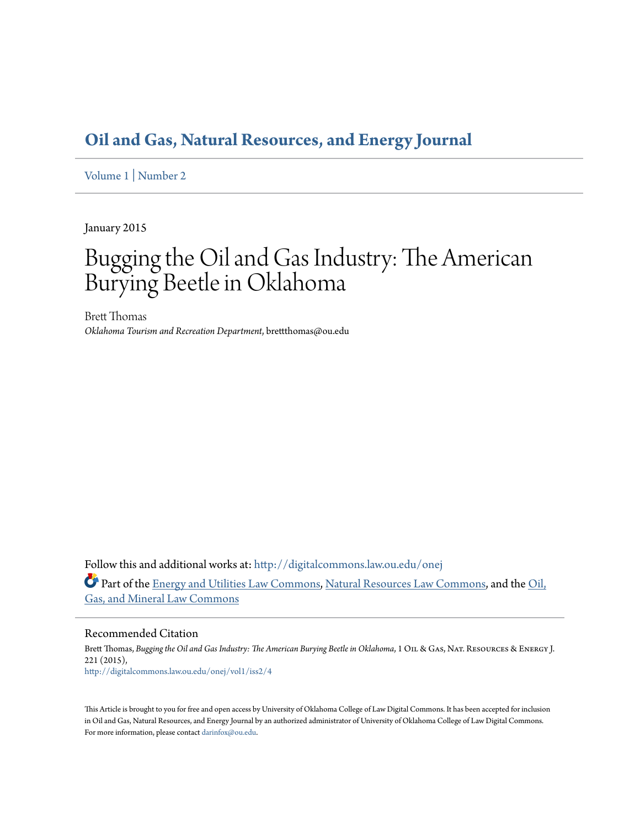## **[Oil and Gas, Natural Resources, and Energy Journal](http://digitalcommons.law.ou.edu/onej?utm_source=digitalcommons.law.ou.edu%2Fonej%2Fvol1%2Fiss2%2F4&utm_medium=PDF&utm_campaign=PDFCoverPages)**

[Volume 1](http://digitalcommons.law.ou.edu/onej/vol1?utm_source=digitalcommons.law.ou.edu%2Fonej%2Fvol1%2Fiss2%2F4&utm_medium=PDF&utm_campaign=PDFCoverPages) | [Number 2](http://digitalcommons.law.ou.edu/onej/vol1/iss2?utm_source=digitalcommons.law.ou.edu%2Fonej%2Fvol1%2Fiss2%2F4&utm_medium=PDF&utm_campaign=PDFCoverPages)

January 2015

# Bugging the Oil and Gas Industry: The American Burying Beetle in Oklahoma

Brett Thomas *Oklahoma Tourism and Recreation Department*, brettthomas@ou.edu

Follow this and additional works at: [http://digitalcommons.law.ou.edu/onej](http://digitalcommons.law.ou.edu/onej?utm_source=digitalcommons.law.ou.edu%2Fonej%2Fvol1%2Fiss2%2F4&utm_medium=PDF&utm_campaign=PDFCoverPages) Part of the [Energy and Utilities Law Commons,](http://network.bepress.com/hgg/discipline/891?utm_source=digitalcommons.law.ou.edu%2Fonej%2Fvol1%2Fiss2%2F4&utm_medium=PDF&utm_campaign=PDFCoverPages) [Natural Resources Law Commons,](http://network.bepress.com/hgg/discipline/863?utm_source=digitalcommons.law.ou.edu%2Fonej%2Fvol1%2Fiss2%2F4&utm_medium=PDF&utm_campaign=PDFCoverPages) and the [Oil,](http://network.bepress.com/hgg/discipline/864?utm_source=digitalcommons.law.ou.edu%2Fonej%2Fvol1%2Fiss2%2F4&utm_medium=PDF&utm_campaign=PDFCoverPages) [Gas, and Mineral Law Commons](http://network.bepress.com/hgg/discipline/864?utm_source=digitalcommons.law.ou.edu%2Fonej%2Fvol1%2Fiss2%2F4&utm_medium=PDF&utm_campaign=PDFCoverPages)

Recommended Citation

Brett Thomas, *Bugging the Oil and Gas Industry: The American Burying Beetle in Oklahoma*, 1 OIL & GAs, NAT. RESOURCES & ENERGY J. 221 (2015), [http://digitalcommons.law.ou.edu/onej/vol1/iss2/4](http://digitalcommons.law.ou.edu/onej/vol1/iss2/4?utm_source=digitalcommons.law.ou.edu%2Fonej%2Fvol1%2Fiss2%2F4&utm_medium=PDF&utm_campaign=PDFCoverPages)

This Article is brought to you for free and open access by University of Oklahoma College of Law Digital Commons. It has been accepted for inclusion in Oil and Gas, Natural Resources, and Energy Journal by an authorized administrator of University of Oklahoma College of Law Digital Commons. For more information, please contact [darinfox@ou.edu](mailto:darinfox@ou.edu).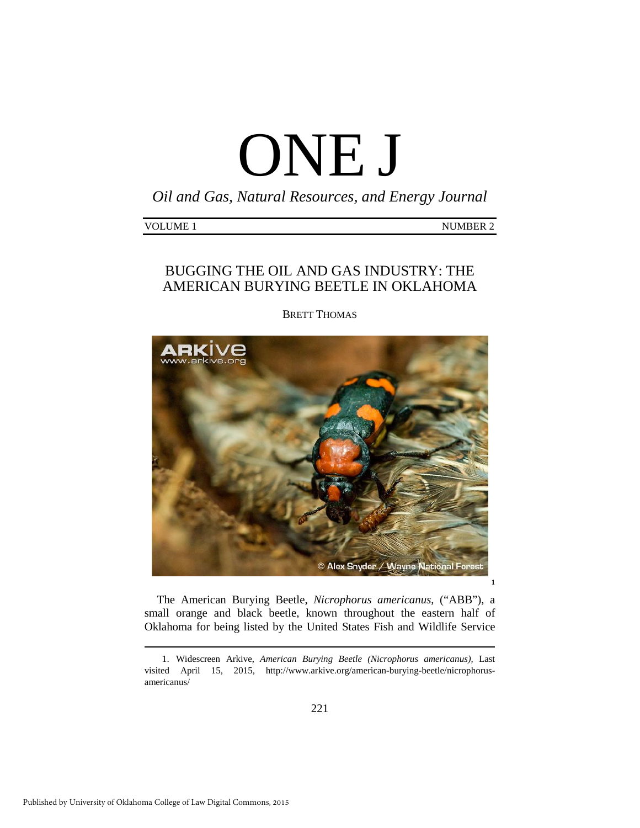# ONE J

*Oil and Gas, Natural Resources, and Energy Journal*

| VOLUME <sub>1</sub><br><b>NUMBER 2</b> |
|----------------------------------------|
|----------------------------------------|

### BUGGING THE OIL AND GAS INDUSTRY: THE AMERICAN BURYING BEETLE IN OKLAHOMA

BRETT THOMAS



The American Burying Beetle, *Nicrophorus americanus*, ("ABB"), a small orange and black beetle, known throughout the eastern half of Oklahoma for being listed by the United States Fish and Wildlife Service

-

<span id="page-1-0"></span> <sup>1.</sup> Widescreen Arkive, *American Burying Beetle (Nicrophorus americanus),* Last visited April 15, 2015*,* http://www.arkive.org/american-burying-beetle/nicrophorusamericanus/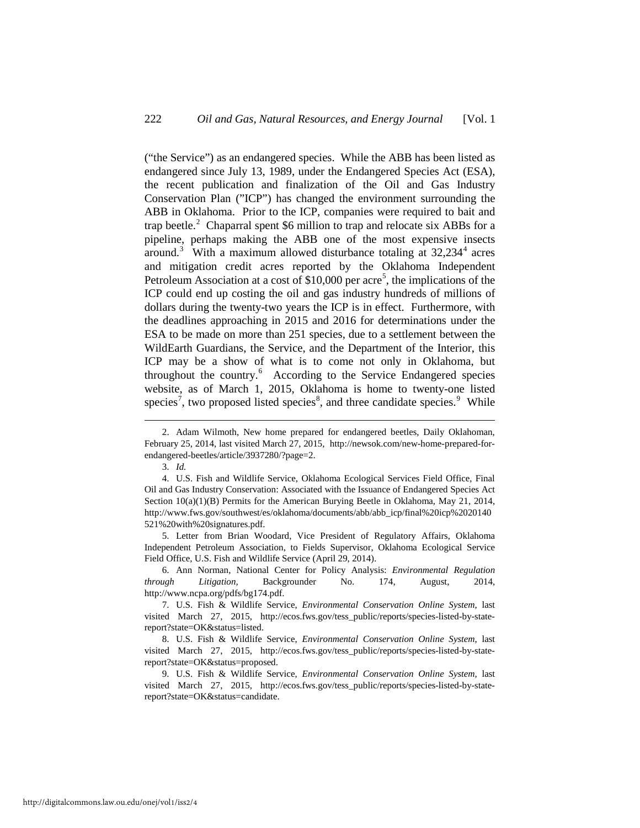("the Service") as an endangered species. While the ABB has been listed as endangered since July 13, 1989, under the Endangered Species Act (ESA), the recent publication and finalization of the Oil and Gas Industry Conservation Plan ("ICP") has changed the environment surrounding the ABB in Oklahoma. Prior to the ICP, companies were required to bait and trap beetle.<sup>[2](#page-2-0)</sup> Chaparral spent \$6 million to trap and relocate six ABBs for a pipeline, perhaps making the ABB one of the most expensive insects around.<sup>[3](#page-2-1)</sup> With a maximum allowed disturbance totaling at  $32,234<sup>4</sup>$  $32,234<sup>4</sup>$  $32,234<sup>4</sup>$  acres and mitigation credit acres reported by the Oklahoma Independent Petroleum Association at a cost of \$10,000 per acre<sup>[5](#page-2-3)</sup>, the implications of the ICP could end up costing the oil and gas industry hundreds of millions of dollars during the twenty-two years the ICP is in effect. Furthermore, with the deadlines approaching in 2015 and 2016 for determinations under the ESA to be made on more than 251 species, due to a settlement between the WildEarth Guardians, the Service, and the Department of the Interior, this ICP may be a show of what is to come not only in Oklahoma, but throughout the country.<sup>[6](#page-2-4)</sup> According to the Service Endangered species website, as of March 1, 2015, Oklahoma is home to twenty-one listed species<sup>[7](#page-2-5)</sup>, two proposed listed species<sup>[8](#page-2-6)</sup>, and three candidate species.<sup>[9](#page-2-7)</sup> While

<u>.</u>

<span id="page-2-3"></span> 5. Letter from Brian Woodard, Vice President of Regulatory Affairs, Oklahoma Independent Petroleum Association, to Fields Supervisor, Oklahoma Ecological Service Field Office, U.S. Fish and Wildlife Service (April 29, 2014).

<span id="page-2-4"></span> 6. Ann Norman, National Center for Policy Analysis: *Environmental Regulation through Litigation,* Backgrounder No. 174, August, 2014, http://www.ncpa.org/pdfs/bg174.pdf.

<span id="page-2-0"></span> <sup>2.</sup> Adam Wilmoth, New home prepared for endangered beetles, Daily Oklahoman, February 25, 2014, last visited March 27, 2015, http://newsok.com/new-home-prepared-forendangered-beetles/article/3937280/?page=2.

 <sup>3.</sup> *Id.* 

<span id="page-2-2"></span><span id="page-2-1"></span> <sup>4.</sup> U.S. Fish and Wildlife Service, Oklahoma Ecological Services Field Office, Final Oil and Gas Industry Conservation: Associated with the Issuance of Endangered Species Act Section 10(a)(1)(B) Permits for the American Burying Beetle in Oklahoma, May 21, 2014, http://www.fws.gov/southwest/es/oklahoma/documents/abb/abb\_icp/final%20icp%2020140 521%20with%20signatures.pdf.

<span id="page-2-5"></span> <sup>7.</sup> U.S. Fish & Wildlife Service, *Environmental Conservation Online System*, last visited March 27, 2015, http://ecos.fws.gov/tess\_public/reports/species-listed-by-statereport?state=OK&status=listed.

<span id="page-2-6"></span> <sup>8.</sup> U.S. Fish & Wildlife Service, *Environmental Conservation Online System*, last visited March 27, 2015, http://ecos.fws.gov/tess\_public/reports/species-listed-by-statereport?state=OK&status=proposed.

<span id="page-2-7"></span> <sup>9.</sup> U.S. Fish & Wildlife Service, *Environmental Conservation Online System*, last visited March 27, 2015, http://ecos.fws.gov/tess\_public/reports/species-listed-by-statereport?state=OK&status=candidate.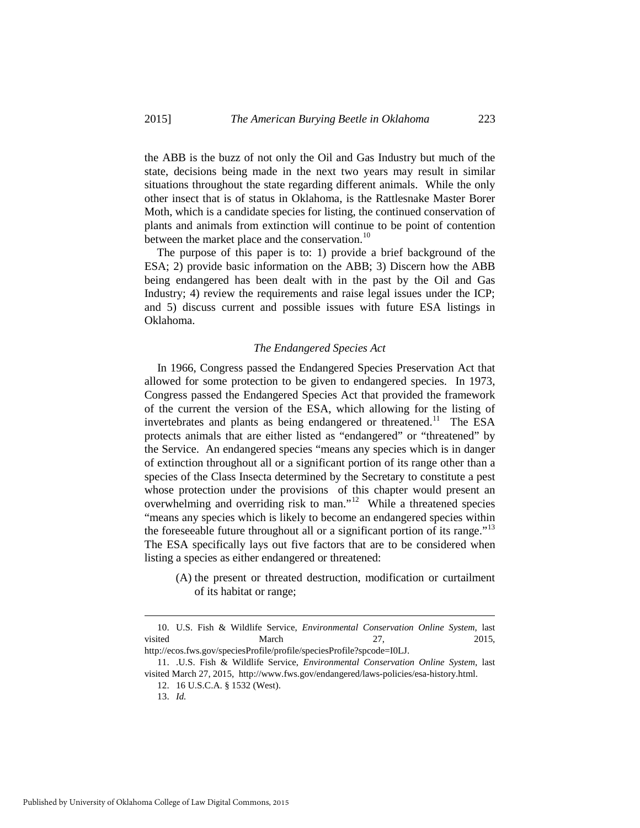the ABB is the buzz of not only the Oil and Gas Industry but much of the state, decisions being made in the next two years may result in similar situations throughout the state regarding different animals. While the only other insect that is of status in Oklahoma, is the Rattlesnake Master Borer Moth, which is a candidate species for listing, the continued conservation of plants and animals from extinction will continue to be point of contention between the market place and the conservation.<sup>[10](#page-3-0)</sup>

The purpose of this paper is to: 1) provide a brief background of the ESA; 2) provide basic information on the ABB; 3) Discern how the ABB being endangered has been dealt with in the past by the Oil and Gas Industry; 4) review the requirements and raise legal issues under the ICP; and 5) discuss current and possible issues with future ESA listings in Oklahoma.

#### *The Endangered Species Act*

In 1966, Congress passed the Endangered Species Preservation Act that allowed for some protection to be given to endangered species. In 1973, Congress passed the Endangered Species Act that provided the framework of the current the version of the ESA, which allowing for the listing of invertebrates and plants as being endangered or threatened.<sup>[11](#page-3-1)</sup> The ESA protects animals that are either listed as "endangered" or "threatened" by the Service. An endangered species "means any species which is in danger of extinction throughout all or a significant portion of its range other than a species of the Class Insecta determined by the Secretary to constitute a pest whose protection under the provisions of this chapter would present an overwhelming and overriding risk to man."[12](#page-3-2) While a threatened species "means any species which is likely to become an endangered species within the foreseeable future throughout all or a significant portion of its range."<sup>13</sup> The ESA specifically lays out five factors that are to be considered when listing a species as either endangered or threatened:

(A) the present or threated destruction, modification or curtailment of its habitat or range;

<span id="page-3-0"></span> <sup>10.</sup> U.S. Fish & Wildlife Service, *Environmental Conservation Online System*, last visited March 27, 2015,

<span id="page-3-1"></span>http://ecos.fws.gov/speciesProfile/profile/speciesProfile?spcode=I0LJ. 11. .U.S. Fish & Wildlife Service, *Environmental Conservation Online System*, last

<span id="page-3-3"></span><span id="page-3-2"></span>visited March 27, 2015, http://www.fws.gov/endangered/laws-policies/esa-history.html.

<sup>12. 16</sup> U.S.C.A. § 1532 (West).

<sup>13.</sup> *Id.*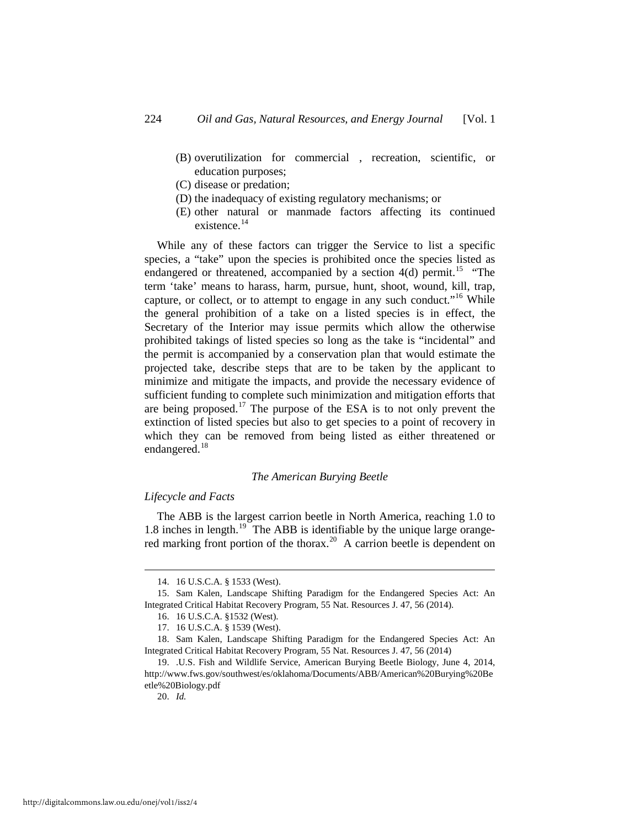- (B) overutilization for commercial , recreation, scientific, or education purposes;
- (C) disease or predation;
- (D) the inadequacy of existing regulatory mechanisms; or
- (E) other natural or manmade factors affecting its continued existence.<sup>[14](#page-4-0)</sup>

While any of these factors can trigger the Service to list a specific species, a "take" upon the species is prohibited once the species listed as endangered or threatened, accompanied by a section  $4(d)$  permit.<sup>[15](#page-4-1)</sup> "The term 'take' means to harass, harm, pursue, hunt, shoot, wound, kill, trap, capture, or collect, or to attempt to engage in any such conduct."<sup>[16](#page-4-2)</sup> While the general prohibition of a take on a listed species is in effect, the Secretary of the Interior may issue permits which allow the otherwise prohibited takings of listed species so long as the take is "incidental" and the permit is accompanied by a conservation plan that would estimate the projected take, describe steps that are to be taken by the applicant to minimize and mitigate the impacts, and provide the necessary evidence of sufficient funding to complete such minimization and mitigation efforts that are being proposed.[17](#page-4-3) The purpose of the ESA is to not only prevent the extinction of listed species but also to get species to a point of recovery in which they can be removed from being listed as either threatened or endangered.<sup>[18](#page-4-4)</sup>

#### *The American Burying Beetle*

#### *Lifecycle and Facts*

The ABB is the largest carrion beetle in North America, reaching 1.0 to 1.8 inches in length.<sup>19</sup> The ABB is identifiable by the unique large orange-red marking front portion of the thorax.<sup>[20](#page-4-6)</sup> A carrion beetle is dependent on

 <sup>14. 16</sup> U.S.C.A. § 1533 (West).

<span id="page-4-2"></span><span id="page-4-1"></span><span id="page-4-0"></span><sup>15.</sup> Sam Kalen, Landscape Shifting Paradigm for the Endangered Species Act: An Integrated Critical Habitat Recovery Program, 55 Nat. Resources J. 47, 56 (2014).

<sup>16. 16</sup> U.S.C.A. §1532 (West).

<sup>17. 16</sup> U.S.C.A. § 1539 (West).

<span id="page-4-4"></span><span id="page-4-3"></span><sup>18.</sup> Sam Kalen, Landscape Shifting Paradigm for the Endangered Species Act: An Integrated Critical Habitat Recovery Program, 55 Nat. Resources J. 47, 56 (2014)

<span id="page-4-6"></span><span id="page-4-5"></span><sup>19. .</sup>U.S. Fish and Wildlife Service, American Burying Beetle Biology, June 4, 2014, http://www.fws.gov/southwest/es/oklahoma/Documents/ABB/American%20Burying%20Be etle%20Biology.pdf

<sup>20.</sup> *Id.*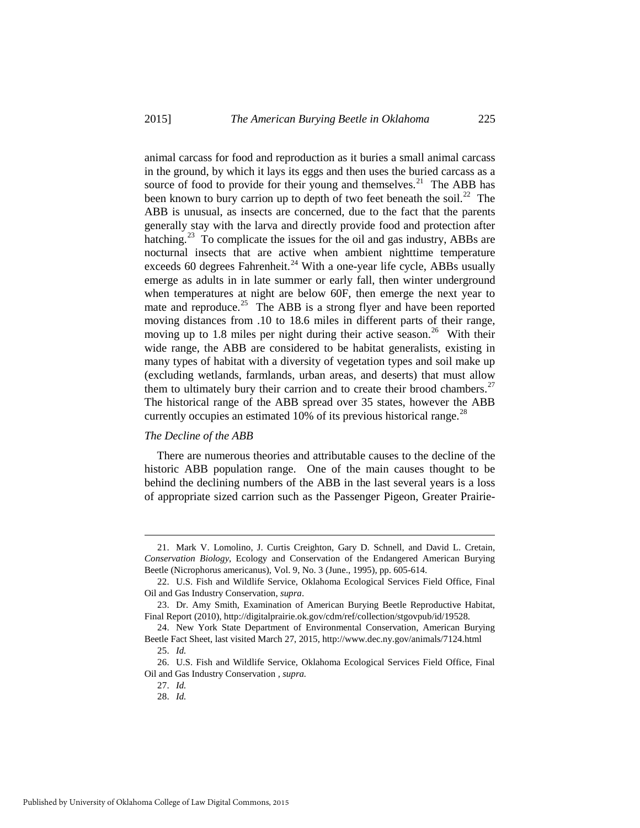animal carcass for food and reproduction as it buries a small animal carcass in the ground, by which it lays its eggs and then uses the buried carcass as a source of food to provide for their young and themselves. $^{21}$  $^{21}$  $^{21}$  The ABB has been known to bury carrion up to depth of two feet beneath the soil.<sup>[22](#page-5-1)</sup> The ABB is unusual, as insects are concerned, due to the fact that the parents generally stay with the larva and directly provide food and protection after hatching.<sup>[23](#page-5-2)</sup> To complicate the issues for the oil and gas industry, ABBs are nocturnal insects that are active when ambient nighttime temperature exceeds 60 degrees Fahrenheit.<sup>[24](#page-5-3)</sup> With a one-year life cycle, ABBs usually emerge as adults in in late summer or early fall, then winter underground when temperatures at night are below 60F, then emerge the next year to mate and reproduce.<sup>[25](#page-5-4)</sup> The ABB is a strong flyer and have been reported moving distances from .10 to 18.6 miles in different parts of their range, moving up to 1.8 miles per night during their active season.<sup>26</sup> With their wide range, the ABB are considered to be habitat generalists, existing in many types of habitat with a diversity of vegetation types and soil make up (excluding wetlands, farmlands, urban areas, and deserts) that must allow them to ultimately bury their carrion and to create their brood chambers.<sup>27</sup> The historical range of the ABB spread over 35 states, however the ABB currently occupies an estimated 10% of its previous historical range.<sup>[28](#page-5-7)</sup>

#### *The Decline of the ABB*

There are numerous theories and attributable causes to the decline of the historic ABB population range. One of the main causes thought to be behind the declining numbers of the ABB in the last several years is a loss of appropriate sized carrion such as the Passenger Pigeon, Greater Prairie-

<span id="page-5-0"></span> <sup>21.</sup> Mark V. Lomolino, J. Curtis Creighton, Gary D. Schnell, and David L. Cretain, *Conservation Biology*, Ecology and Conservation of the Endangered American Burying Beetle (Nicrophorus americanus), Vol. 9, No. 3 (June., 1995), pp. 605-614.

<span id="page-5-1"></span><sup>22.</sup> U.S. Fish and Wildlife Service, Oklahoma Ecological Services Field Office, Final Oil and Gas Industry Conservation, *supra*.

<span id="page-5-2"></span><sup>23.</sup> Dr. Amy Smith, Examination of American Burying Beetle Reproductive Habitat, Final Report (2010), http://digitalprairie.ok.gov/cdm/ref/collection/stgovpub/id/19528.

<span id="page-5-3"></span><sup>24.</sup> New York State Department of Environmental Conservation, American Burying Beetle Fact Sheet, last visited March 27, 2015, http://www.dec.ny.gov/animals/7124.html 25. *Id.* 

<span id="page-5-7"></span><span id="page-5-6"></span><span id="page-5-5"></span><span id="page-5-4"></span><sup>26.</sup> U.S. Fish and Wildlife Service, Oklahoma Ecological Services Field Office, Final Oil and Gas Industry Conservation *, supra.*

<sup>27.</sup> *Id.* 

<sup>28.</sup> *Id.*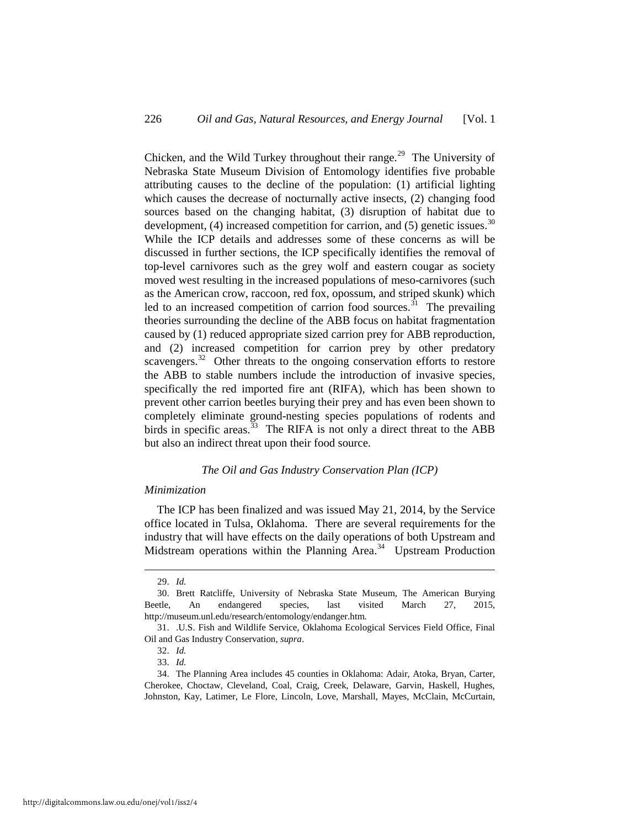Chicken, and the Wild Turkey throughout their range.<sup>[29](#page-6-0)</sup> The University of Nebraska State Museum Division of Entomology identifies five probable attributing causes to the decline of the population: (1) artificial lighting which causes the decrease of nocturnally active insects, (2) changing food sources based on the changing habitat, (3) disruption of habitat due to development, (4) increased competition for carrion, and (5) genetic issues.<sup>30</sup> While the ICP details and addresses some of these concerns as will be discussed in further sections, the ICP specifically identifies the removal of top-level carnivores such as the grey wolf and eastern cougar as society moved west resulting in the increased populations of meso-carnivores (such as the American crow, raccoon, red fox, opossum, and striped skunk) which led to an increased competition of carrion food sources.<sup>[31](#page-6-2)</sup> The prevailing theories surrounding the decline of the ABB focus on habitat fragmentation caused by (1) reduced appropriate sized carrion prey for ABB reproduction, and (2) increased competition for carrion prey by other predatory scavengers. $32$  Other threats to the ongoing conservation efforts to restore the ABB to stable numbers include the introduction of invasive species, specifically the red imported fire ant (RIFA), which has been shown to prevent other carrion beetles burying their prey and has even been shown to completely eliminate ground-nesting species populations of rodents and birds in specific areas.<sup>33</sup> The RIFA is not only a direct threat to the ABB but also an indirect threat upon their food source.

#### *The Oil and Gas Industry Conservation Plan (ICP)*

#### *Minimization*

The ICP has been finalized and was issued May 21, 2014, by the Service office located in Tulsa, Oklahoma. There are several requirements for the industry that will have effects on the daily operations of both Upstream and Midstream operations within the Planning Area.<sup>[34](#page-6-5)</sup> Upstream Production

 <sup>29.</sup> *Id.* 

<span id="page-6-1"></span><span id="page-6-0"></span><sup>30.</sup> Brett Ratcliffe, University of Nebraska State Museum, The American Burying Beetle, An endangered species, last visited March 27, 2015, http://museum.unl.edu/research/entomology/endanger.htm.

<span id="page-6-3"></span><span id="page-6-2"></span><sup>31. .</sup>U.S. Fish and Wildlife Service, Oklahoma Ecological Services Field Office, Final Oil and Gas Industry Conservation, *supra*.

<sup>32.</sup> *Id.* 

<sup>33.</sup> *Id.* 

<span id="page-6-5"></span><span id="page-6-4"></span><sup>34.</sup> The Planning Area includes 45 counties in Oklahoma: Adair, Atoka, Bryan, Carter, Cherokee, Choctaw, Cleveland, Coal, Craig, Creek, Delaware, Garvin, Haskell, Hughes, Johnston, Kay, Latimer, Le Flore, Lincoln, Love, Marshall, Mayes, McClain, McCurtain,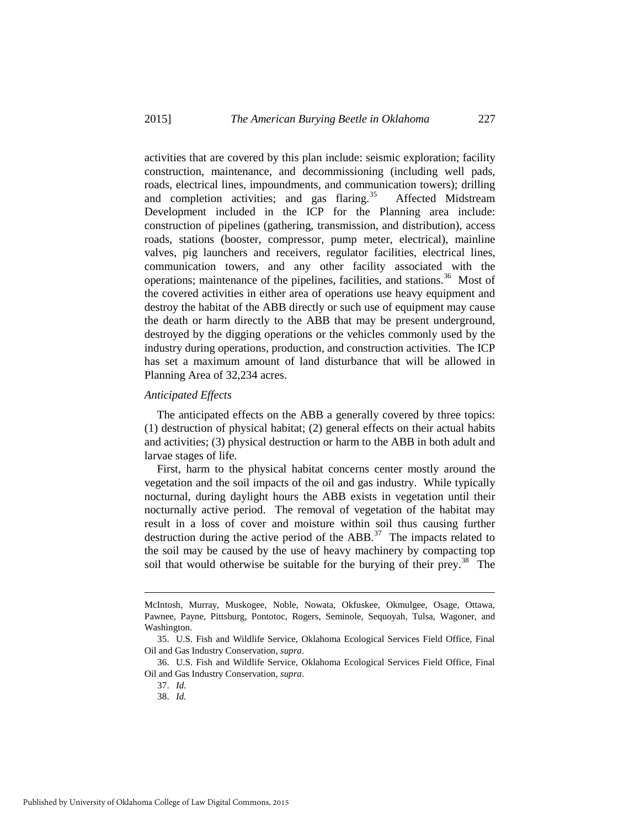activities that are covered by this plan include: seismic exploration; facility construction, maintenance, and decommissioning (including well pads, roads, electrical lines, impoundments, and communication towers); drilling and completion activities; and gas flaring.<sup>35</sup> Affected Midstream Development included in the ICP for the Planning area include: construction of pipelines (gathering, transmission, and distribution), access roads, stations (booster, compressor, pump meter, electrical), mainline valves, pig launchers and receivers, regulator facilities, electrical lines, communication towers, and any other facility associated with the operations; maintenance of the pipelines, facilities, and stations.<sup>36</sup> Most of the covered activities in either area of operations use heavy equipment and destroy the habitat of the ABB directly or such use of equipment may cause the death or harm directly to the ABB that may be present underground, destroyed by the digging operations or the vehicles commonly used by the industry during operations, production, and construction activities. The ICP has set a maximum amount of land disturbance that will be allowed in Planning Area of 32,234 acres.

#### *Anticipated Effects*

The anticipated effects on the ABB a generally covered by three topics: (1) destruction of physical habitat; (2) general effects on their actual habits and activities; (3) physical destruction or harm to the ABB in both adult and larvae stages of life.

First, harm to the physical habitat concerns center mostly around the vegetation and the soil impacts of the oil and gas industry. While typically nocturnal, during daylight hours the ABB exists in vegetation until their nocturnally active period. The removal of vegetation of the habitat may result in a loss of cover and moisture within soil thus causing further destruction during the active period of the  $ABB<sup>37</sup>$  $ABB<sup>37</sup>$  $ABB<sup>37</sup>$ . The impacts related to the soil may be caused by the use of heavy machinery by compacting top soil that would otherwise be suitable for the burying of their prey.<sup>38</sup> The

<u>.</u>

McIntosh, Murray, Muskogee, Noble, Nowata, Okfuskee, Okmulgee, Osage, Ottawa, Pawnee, Payne, Pittsburg, Pontotoc, Rogers, Seminole, Sequoyah, Tulsa, Wagoner, and Washington.

<span id="page-7-0"></span><sup>35.</sup> U.S. Fish and Wildlife Service, Oklahoma Ecological Services Field Office, Final Oil and Gas Industry Conservation, *supra*.

<span id="page-7-3"></span><span id="page-7-2"></span><span id="page-7-1"></span><sup>36.</sup> U.S. Fish and Wildlife Service, Oklahoma Ecological Services Field Office, Final Oil and Gas Industry Conservation, *supra*.

<sup>37.</sup> *Id.* 

<sup>38.</sup> *Id.*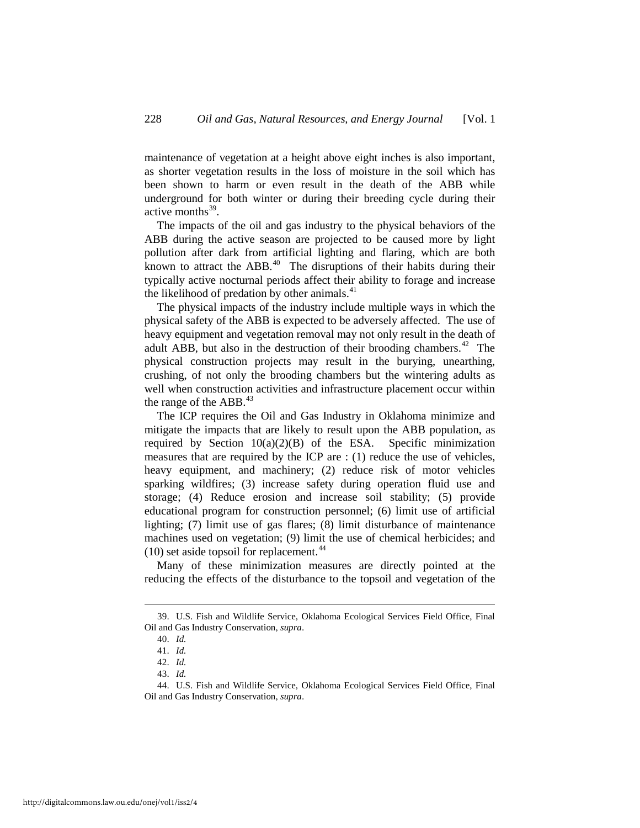maintenance of vegetation at a height above eight inches is also important, as shorter vegetation results in the loss of moisture in the soil which has been shown to harm or even result in the death of the ABB while underground for both winter or during their breeding cycle during their active months $39$ .

The impacts of the oil and gas industry to the physical behaviors of the ABB during the active season are projected to be caused more by light pollution after dark from artificial lighting and flaring, which are both known to attract the  $ABB<sup>40</sup>$  $ABB<sup>40</sup>$  $ABB<sup>40</sup>$  The disruptions of their habits during their typically active nocturnal periods affect their ability to forage and increase the likelihood of predation by other animals.<sup>[41](#page-8-2)</sup>

The physical impacts of the industry include multiple ways in which the physical safety of the ABB is expected to be adversely affected. The use of heavy equipment and vegetation removal may not only result in the death of adult ABB, but also in the destruction of their brooding chambers.<sup>42</sup> The physical construction projects may result in the burying, unearthing, crushing, of not only the brooding chambers but the wintering adults as well when construction activities and infrastructure placement occur within the range of the ABB.<sup>[43](#page-8-4)</sup>

The ICP requires the Oil and Gas Industry in Oklahoma minimize and mitigate the impacts that are likely to result upon the ABB population, as required by Section 10(a)(2)(B) of the ESA. Specific minimization measures that are required by the ICP are : (1) reduce the use of vehicles, heavy equipment, and machinery; (2) reduce risk of motor vehicles sparking wildfires; (3) increase safety during operation fluid use and storage; (4) Reduce erosion and increase soil stability; (5) provide educational program for construction personnel; (6) limit use of artificial lighting; (7) limit use of gas flares; (8) limit disturbance of maintenance machines used on vegetation; (9) limit the use of chemical herbicides; and  $(10)$  set aside topsoil for replacement.<sup>44</sup>

Many of these minimization measures are directly pointed at the reducing the effects of the disturbance to the topsoil and vegetation of the

<span id="page-8-2"></span><span id="page-8-1"></span><span id="page-8-0"></span> <sup>39.</sup> U.S. Fish and Wildlife Service, Oklahoma Ecological Services Field Office, Final Oil and Gas Industry Conservation, *supra*.

<sup>40.</sup> *Id.*  41. *Id.* 

<sup>42.</sup> *Id.* 

<sup>43.</sup> *Id.* 

<span id="page-8-5"></span><span id="page-8-4"></span><span id="page-8-3"></span><sup>44.</sup> U.S. Fish and Wildlife Service, Oklahoma Ecological Services Field Office, Final Oil and Gas Industry Conservation, *supra*.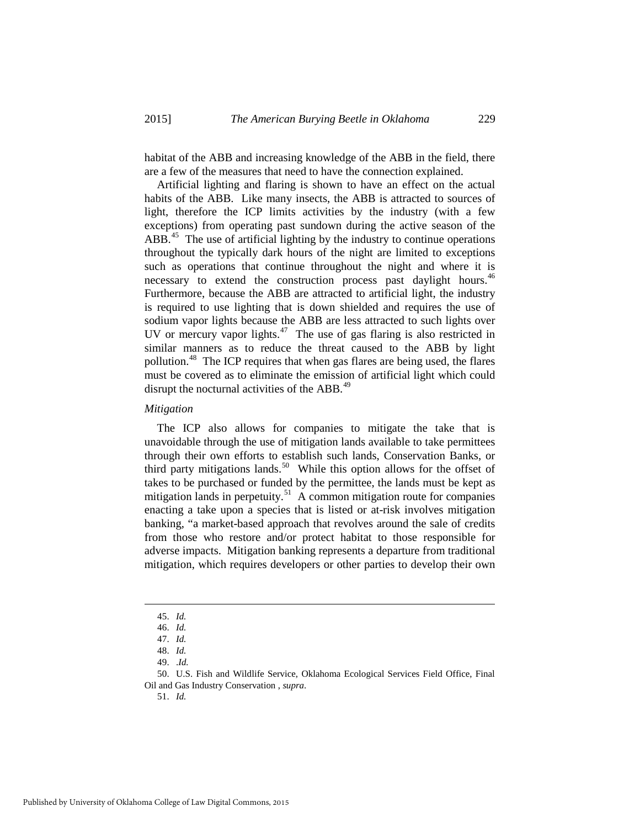habitat of the ABB and increasing knowledge of the ABB in the field, there are a few of the measures that need to have the connection explained.

Artificial lighting and flaring is shown to have an effect on the actual habits of the ABB. Like many insects, the ABB is attracted to sources of light, therefore the ICP limits activities by the industry (with a few exceptions) from operating past sundown during the active season of the  $ABB<sup>45</sup>$  $ABB<sup>45</sup>$  $ABB<sup>45</sup>$ . The use of artificial lighting by the industry to continue operations throughout the typically dark hours of the night are limited to exceptions such as operations that continue throughout the night and where it is necessary to extend the construction process past daylight hours.<sup>46</sup> Furthermore, because the ABB are attracted to artificial light, the industry is required to use lighting that is down shielded and requires the use of sodium vapor lights because the ABB are less attracted to such lights over UV or mercury vapor lights. $47$  The use of gas flaring is also restricted in similar manners as to reduce the threat caused to the ABB by light pollution.<sup>[48](#page-9-3)</sup> The ICP requires that when gas flares are being used, the flares must be covered as to eliminate the emission of artificial light which could disrupt the nocturnal activities of the ABB.<sup>[49](#page-9-4)</sup>

#### *Mitigation*

The ICP also allows for companies to mitigate the take that is unavoidable through the use of mitigation lands available to take permittees through their own efforts to establish such lands, Conservation Banks, or third party mitigations lands.<sup>50</sup> While this option allows for the offset of takes to be purchased or funded by the permittee, the lands must be kept as mitigation lands in perpetuity.<sup>51</sup> A common mitigation route for companies enacting a take upon a species that is listed or at-risk involves mitigation banking, "a market-based approach that revolves around the sale of credits from those who restore and/or protect habitat to those responsible for adverse impacts. Mitigation banking represents a departure from traditional mitigation, which requires developers or other parties to develop their own

 <sup>45.</sup> *Id.* 

<sup>46.</sup> *Id.*

<sup>47.</sup> *Id.* 

<sup>48.</sup> *Id.* 

<sup>49. .</sup>*Id.* 

<span id="page-9-6"></span><span id="page-9-5"></span><span id="page-9-4"></span><span id="page-9-3"></span><span id="page-9-2"></span><span id="page-9-1"></span><span id="page-9-0"></span><sup>50.</sup> U.S. Fish and Wildlife Service, Oklahoma Ecological Services Field Office, Final Oil and Gas Industry Conservation , *supra*.

<sup>51.</sup> *Id.*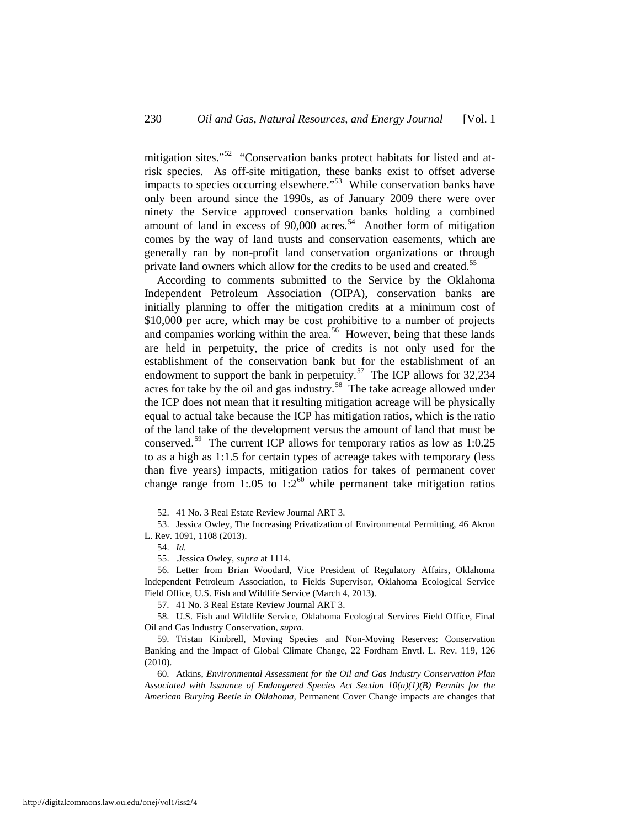mitigation sites."<sup>52</sup> "Conservation banks protect habitats for listed and atrisk species. As off-site mitigation, these banks exist to offset adverse impacts to species occurring elsewhere."[53](#page-10-1) While conservation banks have only been around since the 1990s, as of January 2009 there were over ninety the Service approved conservation banks holding a combined amount of land in excess of  $90,000$  acres.<sup>54</sup> Another form of mitigation comes by the way of land trusts and conservation easements, which are generally ran by non-profit land conservation organizations or through private land owners which allow for the credits to be used and created.<sup>[55](#page-10-3)</sup>

According to comments submitted to the Service by the Oklahoma Independent Petroleum Association (OIPA), conservation banks are initially planning to offer the mitigation credits at a minimum cost of \$10,000 per acre, which may be cost prohibitive to a number of projects and companies working within the area.<sup>[56](#page-10-4)</sup> However, being that these lands are held in perpetuity, the price of credits is not only used for the establishment of the conservation bank but for the establishment of an endowment to support the bank in perpetuity.<sup>57</sup> The ICP allows for  $32,234$ acres for take by the oil and gas industry.<sup>58</sup> The take acreage allowed under the ICP does not mean that it resulting mitigation acreage will be physically equal to actual take because the ICP has mitigation ratios, which is the ratio of the land take of the development versus the amount of land that must be conserved.[59](#page-10-7) The current ICP allows for temporary ratios as low as 1:0.25 to as a high as 1:1.5 for certain types of acreage takes with temporary (less than five years) impacts, mitigation ratios for takes of permanent cover change range from 1:.05 to 1:2<sup>[60](#page-10-8)</sup> while permanent take mitigation ratios

57. 41 No. 3 Real Estate Review Journal ART 3.

<span id="page-10-6"></span><span id="page-10-5"></span>58. U.S. Fish and Wildlife Service, Oklahoma Ecological Services Field Office, Final Oil and Gas Industry Conservation, *supra*.

<span id="page-10-8"></span>60. Atkins, *Environmental Assessment for the Oil and Gas Industry Conservation Plan Associated with Issuance of Endangered Species Act Section 10(a)(1)(B) Permits for the American Burying Beetle in Oklahoma,* Permanent Cover Change impacts are changes that

 <sup>52. 41</sup> No. 3 Real Estate Review Journal ART 3.

<span id="page-10-2"></span><span id="page-10-1"></span><span id="page-10-0"></span><sup>53.</sup> Jessica Owley, The Increasing Privatization of Environmental Permitting, 46 Akron L. Rev. 1091, 1108 (2013).

<sup>54.</sup> *Id.* 

<sup>55. .</sup>Jessica Owley, *supra* at 1114.

<span id="page-10-4"></span><span id="page-10-3"></span><sup>56.</sup> Letter from Brian Woodard, Vice President of Regulatory Affairs, Oklahoma Independent Petroleum Association, to Fields Supervisor, Oklahoma Ecological Service Field Office, U.S. Fish and Wildlife Service (March 4, 2013).

<span id="page-10-7"></span><sup>59.</sup> Tristan Kimbrell, Moving Species and Non-Moving Reserves: Conservation Banking and the Impact of Global Climate Change, 22 Fordham Envtl. L. Rev. 119, 126 (2010).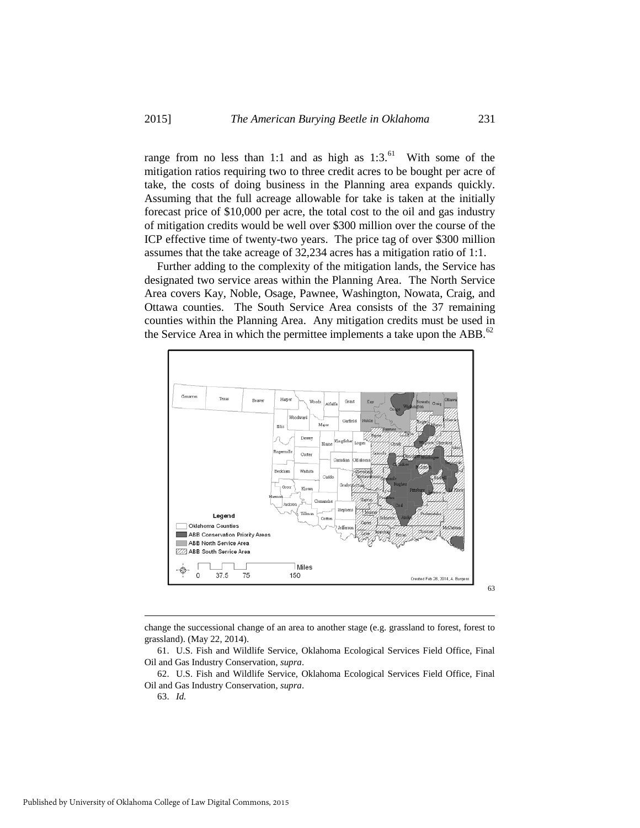range from no less than 1:1 and as high as  $1:3.^{61}$  $1:3.^{61}$  $1:3.^{61}$  With some of the mitigation ratios requiring two to three credit acres to be bought per acre of take, the costs of doing business in the Planning area expands quickly. Assuming that the full acreage allowable for take is taken at the initially forecast price of \$10,000 per acre, the total cost to the oil and gas industry of mitigation credits would be well over \$300 million over the course of the ICP effective time of twenty-two years. The price tag of over \$300 million assumes that the take acreage of 32,234 acres has a mitigation ratio of 1:1.

Further adding to the complexity of the mitigation lands, the Service has designated two service areas within the Planning Area. The North Service Area covers Kay, Noble, Osage, Pawnee, Washington, Nowata, Craig, and Ottawa counties. The South Service Area consists of the 37 remaining counties within the Planning Area. Any mitigation credits must be used in the Service Area in which the permittee implements a take upon the ABB. $^{62}$  $^{62}$  $^{62}$ 



change the successional change of an area to another stage (e.g. grassland to forest, forest to grassland). (May 22, 2014).

-

<span id="page-11-0"></span><sup>61.</sup> U.S. Fish and Wildlife Service, Oklahoma Ecological Services Field Office, Final Oil and Gas Industry Conservation, *supra*.

<span id="page-11-2"></span><span id="page-11-1"></span><sup>62.</sup> U.S. Fish and Wildlife Service, Oklahoma Ecological Services Field Office, Final Oil and Gas Industry Conservation, *supra*.

<sup>63.</sup> *Id.*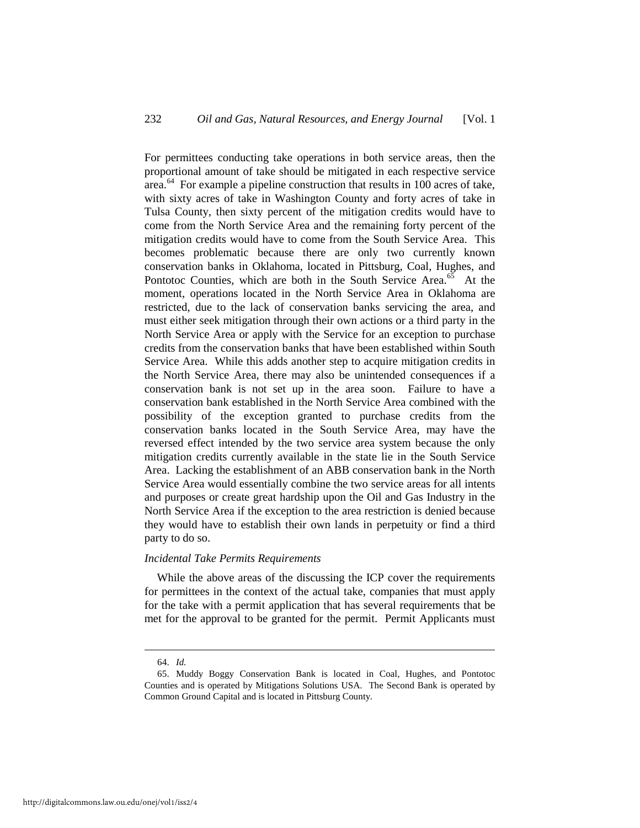For permittees conducting take operations in both service areas, then the proportional amount of take should be mitigated in each respective service area.[64](#page-12-0) For example a pipeline construction that results in 100 acres of take, with sixty acres of take in Washington County and forty acres of take in Tulsa County, then sixty percent of the mitigation credits would have to come from the North Service Area and the remaining forty percent of the mitigation credits would have to come from the South Service Area. This becomes problematic because there are only two currently known conservation banks in Oklahoma, located in Pittsburg, Coal, Hughes, and Pontotoc Counties, which are both in the South Service Area.<sup>65</sup> At the moment, operations located in the North Service Area in Oklahoma are restricted, due to the lack of conservation banks servicing the area, and must either seek mitigation through their own actions or a third party in the North Service Area or apply with the Service for an exception to purchase credits from the conservation banks that have been established within South Service Area. While this adds another step to acquire mitigation credits in the North Service Area, there may also be unintended consequences if a conservation bank is not set up in the area soon. Failure to have a conservation bank established in the North Service Area combined with the possibility of the exception granted to purchase credits from the conservation banks located in the South Service Area, may have the reversed effect intended by the two service area system because the only mitigation credits currently available in the state lie in the South Service Area. Lacking the establishment of an ABB conservation bank in the North Service Area would essentially combine the two service areas for all intents and purposes or create great hardship upon the Oil and Gas Industry in the North Service Area if the exception to the area restriction is denied because they would have to establish their own lands in perpetuity or find a third party to do so.

#### *Incidental Take Permits Requirements*

While the above areas of the discussing the ICP cover the requirements for permittees in the context of the actual take, companies that must apply for the take with a permit application that has several requirements that be met for the approval to be granted for the permit. Permit Applicants must

 <sup>64.</sup> *Id.*

<span id="page-12-1"></span><span id="page-12-0"></span><sup>65.</sup> Muddy Boggy Conservation Bank is located in Coal, Hughes, and Pontotoc Counties and is operated by Mitigations Solutions USA. The Second Bank is operated by Common Ground Capital and is located in Pittsburg County.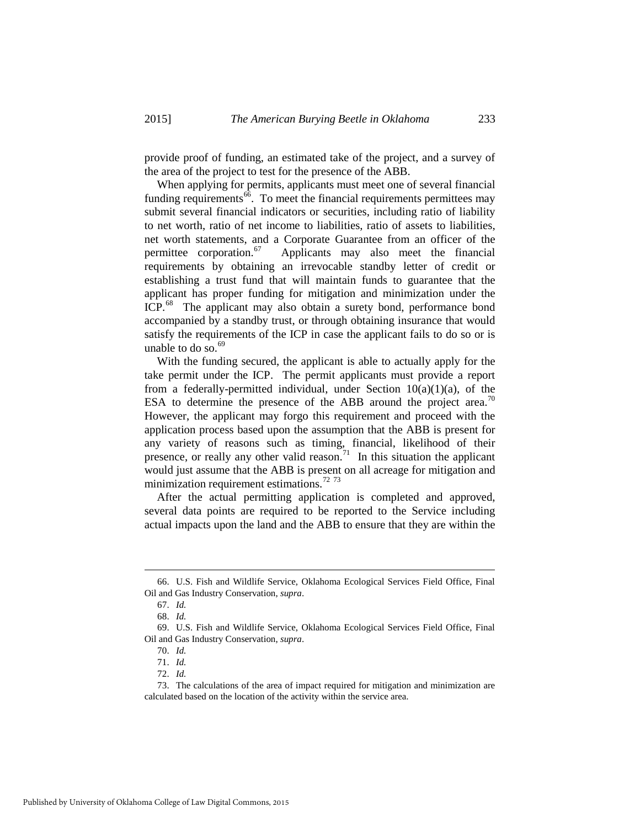provide proof of funding, an estimated take of the project, and a survey of the area of the project to test for the presence of the ABB.

When applying for permits, applicants must meet one of several financial funding requirements $^{66}$  $^{66}$  $^{66}$ . To meet the financial requirements permittees may submit several financial indicators or securities, including ratio of liability to net worth, ratio of net income to liabilities, ratio of assets to liabilities, net worth statements, and a Corporate Guarantee from an officer of the permittee corporation. $67$  Applicants may also meet the financial requirements by obtaining an irrevocable standby letter of credit or establishing a trust fund that will maintain funds to guarantee that the applicant has proper funding for mitigation and minimization under the ICP.<sup>68</sup> The applicant may also obtain a surety bond, performance bond accompanied by a standby trust, or through obtaining insurance that would satisfy the requirements of the ICP in case the applicant fails to do so or is unable to do so. $69$ 

With the funding secured, the applicant is able to actually apply for the take permit under the ICP. The permit applicants must provide a report from a federally-permitted individual, under Section  $10(a)(1)(a)$ , of the ESA to determine the presence of the ABB around the project area.<sup>70</sup> However, the applicant may forgo this requirement and proceed with the application process based upon the assumption that the ABB is present for any variety of reasons such as timing, financial, likelihood of their presence, or really any other valid reason.<sup>[71](#page-13-5)</sup> In this situation the applicant would just assume that the ABB is present on all acreage for mitigation and minimization requirement estimations.<sup>[72](#page-13-6)</sup> <sup>[73](#page-13-7)</sup>

After the actual permitting application is completed and approved, several data points are required to be reported to the Service including actual impacts upon the land and the ABB to ensure that they are within the

<span id="page-13-1"></span><span id="page-13-0"></span> <sup>66.</sup> U.S. Fish and Wildlife Service, Oklahoma Ecological Services Field Office, Final Oil and Gas Industry Conservation, *supra*.

<sup>67.</sup> *Id.*

<sup>68.</sup> *Id.* 

<span id="page-13-4"></span><span id="page-13-3"></span><span id="page-13-2"></span><sup>69.</sup> U.S. Fish and Wildlife Service, Oklahoma Ecological Services Field Office, Final Oil and Gas Industry Conservation, *supra*.

<sup>70.</sup> *Id.*

<sup>71.</sup> *Id.*

<sup>72.</sup> *Id.*

<span id="page-13-7"></span><span id="page-13-6"></span><span id="page-13-5"></span><sup>73.</sup> The calculations of the area of impact required for mitigation and minimization are calculated based on the location of the activity within the service area.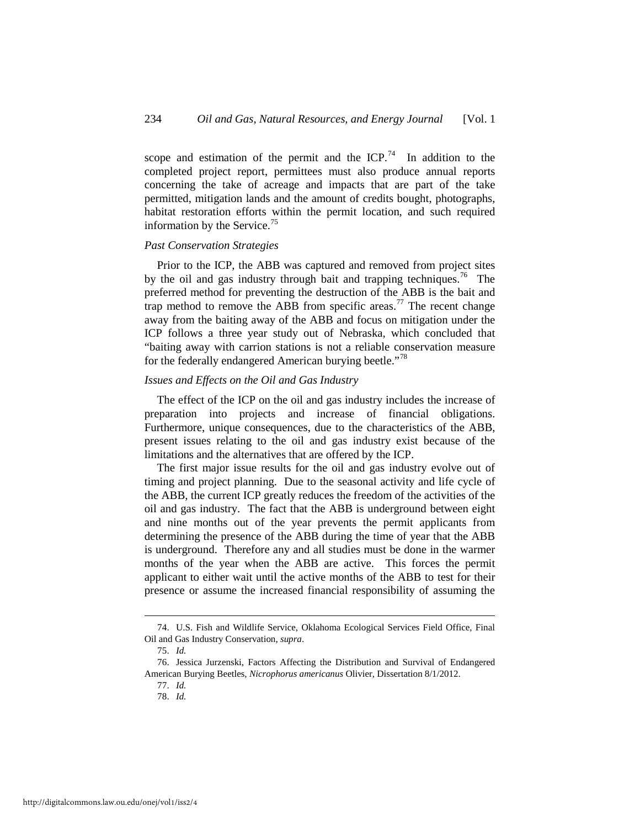scope and estimation of the permit and the ICP.<sup>[74](#page-14-0)</sup> In addition to the completed project report, permittees must also produce annual reports concerning the take of acreage and impacts that are part of the take permitted, mitigation lands and the amount of credits bought, photographs, habitat restoration efforts within the permit location, and such required information by the Service.<sup>[75](#page-14-1)</sup>

#### *Past Conservation Strategies*

Prior to the ICP, the ABB was captured and removed from project sites by the oil and gas industry through bait and trapping techniques.<sup>[76](#page-14-2)</sup> The preferred method for preventing the destruction of the ABB is the bait and trap method to remove the ABB from specific areas.<sup>[77](#page-14-3)</sup> The recent change away from the baiting away of the ABB and focus on mitigation under the ICP follows a three year study out of Nebraska, which concluded that "baiting away with carrion stations is not a reliable conservation measure for the federally endangered American burying beetle."<sup>[78](#page-14-4)</sup>

#### *Issues and Effects on the Oil and Gas Industry*

The effect of the ICP on the oil and gas industry includes the increase of preparation into projects and increase of financial obligations. Furthermore, unique consequences, due to the characteristics of the ABB, present issues relating to the oil and gas industry exist because of the limitations and the alternatives that are offered by the ICP.

The first major issue results for the oil and gas industry evolve out of timing and project planning. Due to the seasonal activity and life cycle of the ABB, the current ICP greatly reduces the freedom of the activities of the oil and gas industry. The fact that the ABB is underground between eight and nine months out of the year prevents the permit applicants from determining the presence of the ABB during the time of year that the ABB is underground. Therefore any and all studies must be done in the warmer months of the year when the ABB are active. This forces the permit applicant to either wait until the active months of the ABB to test for their presence or assume the increased financial responsibility of assuming the

<span id="page-14-0"></span> <sup>74.</sup> U.S. Fish and Wildlife Service, Oklahoma Ecological Services Field Office, Final Oil and Gas Industry Conservation, *supra*.

<sup>75.</sup> *Id.* 

<span id="page-14-4"></span><span id="page-14-3"></span><span id="page-14-2"></span><span id="page-14-1"></span><sup>76.</sup> Jessica Jurzenski, Factors Affecting the Distribution and Survival of Endangered American Burying Beetles, *Nicrophorus americanus* Olivier, Dissertation 8/1/2012.

<sup>77.</sup> *Id.*  78. *Id.*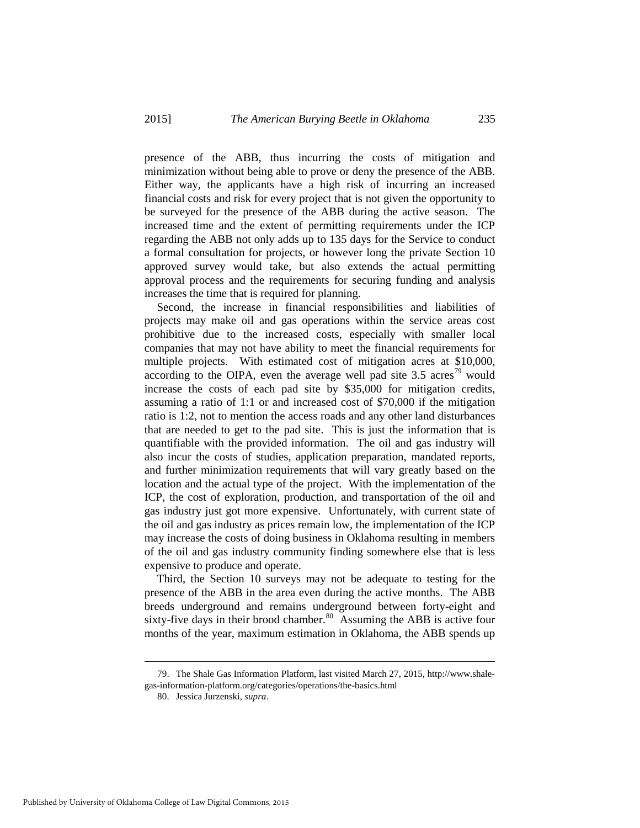presence of the ABB, thus incurring the costs of mitigation and minimization without being able to prove or deny the presence of the ABB. Either way, the applicants have a high risk of incurring an increased financial costs and risk for every project that is not given the opportunity to be surveyed for the presence of the ABB during the active season. The increased time and the extent of permitting requirements under the ICP regarding the ABB not only adds up to 135 days for the Service to conduct a formal consultation for projects, or however long the private Section 10 approved survey would take, but also extends the actual permitting approval process and the requirements for securing funding and analysis increases the time that is required for planning.

Second, the increase in financial responsibilities and liabilities of projects may make oil and gas operations within the service areas cost prohibitive due to the increased costs, especially with smaller local companies that may not have ability to meet the financial requirements for multiple projects. With estimated cost of mitigation acres at \$10,000, according to the OIPA, even the average well pad site  $3.5$  acres<sup>79</sup> would increase the costs of each pad site by \$35,000 for mitigation credits, assuming a ratio of 1:1 or and increased cost of \$70,000 if the mitigation ratio is 1:2, not to mention the access roads and any other land disturbances that are needed to get to the pad site. This is just the information that is quantifiable with the provided information. The oil and gas industry will also incur the costs of studies, application preparation, mandated reports, and further minimization requirements that will vary greatly based on the location and the actual type of the project. With the implementation of the ICP, the cost of exploration, production, and transportation of the oil and gas industry just got more expensive. Unfortunately, with current state of the oil and gas industry as prices remain low, the implementation of the ICP may increase the costs of doing business in Oklahoma resulting in members of the oil and gas industry community finding somewhere else that is less expensive to produce and operate.

Third, the Section 10 surveys may not be adequate to testing for the presence of the ABB in the area even during the active months. The ABB breeds underground and remains underground between forty-eight and sixty-five days in their brood chamber.<sup>80</sup> Assuming the ABB is active four months of the year, maximum estimation in Oklahoma, the ABB spends up

<span id="page-15-1"></span><span id="page-15-0"></span> <sup>79.</sup> The Shale Gas Information Platform, last visited March 27, 2015, http://www.shalegas-information-platform.org/categories/operations/the-basics.html

<sup>80.</sup> Jessica Jurzenski, *supra*.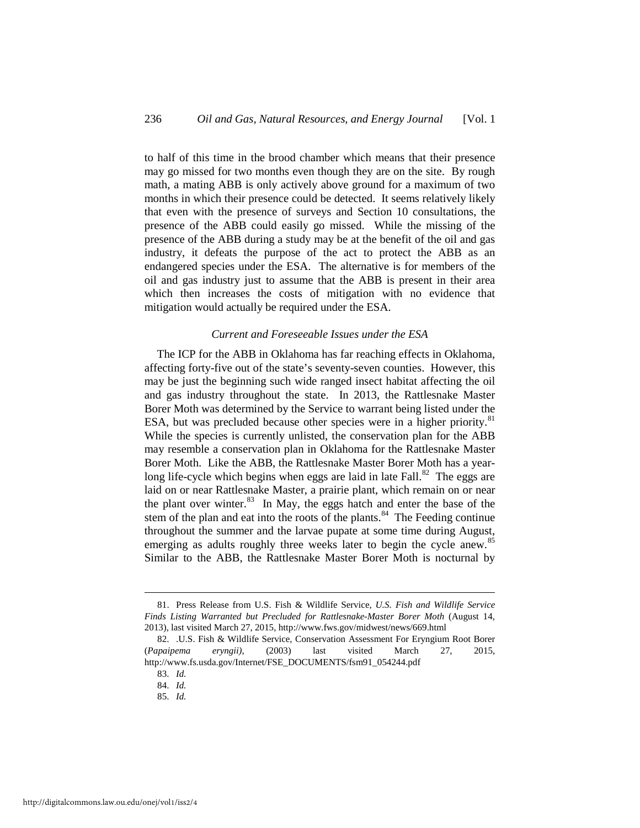to half of this time in the brood chamber which means that their presence may go missed for two months even though they are on the site. By rough math, a mating ABB is only actively above ground for a maximum of two months in which their presence could be detected. It seems relatively likely that even with the presence of surveys and Section 10 consultations, the presence of the ABB could easily go missed. While the missing of the presence of the ABB during a study may be at the benefit of the oil and gas industry, it defeats the purpose of the act to protect the ABB as an endangered species under the ESA. The alternative is for members of the oil and gas industry just to assume that the ABB is present in their area which then increases the costs of mitigation with no evidence that mitigation would actually be required under the ESA.

#### *Current and Foreseeable Issues under the ESA*

The ICP for the ABB in Oklahoma has far reaching effects in Oklahoma, affecting forty-five out of the state's seventy-seven counties. However, this may be just the beginning such wide ranged insect habitat affecting the oil and gas industry throughout the state. In 2013, the Rattlesnake Master Borer Moth was determined by the Service to warrant being listed under the ESA, but was precluded because other species were in a higher priority.<sup>81</sup> While the species is currently unlisted, the conservation plan for the ABB may resemble a conservation plan in Oklahoma for the Rattlesnake Master Borer Moth. Like the ABB, the Rattlesnake Master Borer Moth has a yearlong life-cycle which begins when eggs are laid in late Fall. $82$  The eggs are laid on or near Rattlesnake Master, a prairie plant, which remain on or near the plant over winter. $83$  In May, the eggs hatch and enter the base of the stem of the plan and eat into the roots of the plants. $84$  The Feeding continue throughout the summer and the larvae pupate at some time during August, emerging as adults roughly three weeks later to begin the cycle anew.<sup>85</sup> Similar to the ABB, the Rattlesnake Master Borer Moth is nocturnal by

<span id="page-16-0"></span> <sup>81.</sup> Press Release from U.S. Fish & Wildlife Service, *U.S. Fish and Wildlife Service Finds Listing Warranted but Precluded for Rattlesnake-Master Borer Moth* (August 14, 2013), last visited March 27, 2015, http://www.fws.gov/midwest/news/669.html

<span id="page-16-4"></span><span id="page-16-3"></span><span id="page-16-2"></span><span id="page-16-1"></span><sup>82. .</sup>U.S. Fish & Wildlife Service, Conservation Assessment For Eryngium Root Borer (*Papaipema eryngii)*, (2003) last visited March 27, 2015, http://www.fs.usda.gov/Internet/FSE\_DOCUMENTS/fsm91\_054244.pdf

<sup>83.</sup> *Id.*

<sup>84.</sup> *Id.*

<sup>85.</sup> *Id.*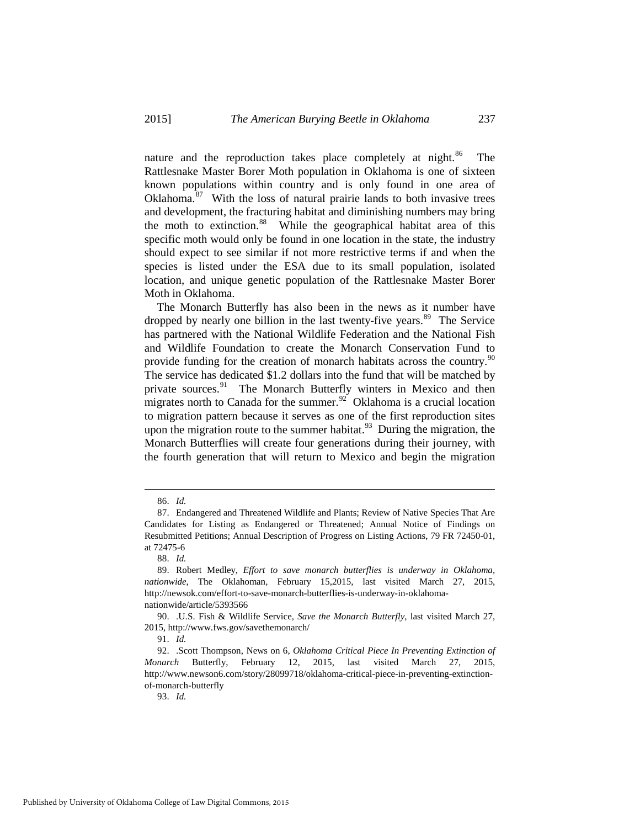nature and the reproduction takes place completely at night.<sup>86</sup> The Rattlesnake Master Borer Moth population in Oklahoma is one of sixteen known populations within country and is only found in one area of Oklahoma.<sup>[87](#page-17-1)</sup> With the loss of natural prairie lands to both invasive trees and development, the fracturing habitat and diminishing numbers may bring the moth to extinction.<sup>[88](#page-17-2)</sup> While the geographical habitat area of this specific moth would only be found in one location in the state, the industry should expect to see similar if not more restrictive terms if and when the species is listed under the ESA due to its small population, isolated location, and unique genetic population of the Rattlesnake Master Borer Moth in Oklahoma.

The Monarch Butterfly has also been in the news as it number have dropped by nearly one billion in the last twenty-five years.<sup>[89](#page-17-3)</sup> The Service has partnered with the National Wildlife Federation and the National Fish and Wildlife Foundation to create the Monarch Conservation Fund to provide funding for the creation of monarch habitats across the country.<sup>90</sup> The service has dedicated \$1.2 dollars into the fund that will be matched by private sources.<sup>91</sup> The Monarch Butterfly winters in Mexico and then migrates north to Canada for the summer.<sup>92</sup> Oklahoma is a crucial location to migration pattern because it serves as one of the first reproduction sites upon the migration route to the summer habitat. $93$  During the migration, the Monarch Butterflies will create four generations during their journey, with the fourth generation that will return to Mexico and begin the migration

93. *Id.*

 <sup>86.</sup> *Id.*

<span id="page-17-1"></span><span id="page-17-0"></span><sup>87.</sup> Endangered and Threatened Wildlife and Plants; Review of Native Species That Are Candidates for Listing as Endangered or Threatened; Annual Notice of Findings on Resubmitted Petitions; Annual Description of Progress on Listing Actions, 79 FR 72450-01, at 72475-6

<sup>88.</sup> *Id.*

<span id="page-17-3"></span><span id="page-17-2"></span><sup>89.</sup> Robert Medley, *Effort to save monarch butterflies is underway in Oklahoma, nationwide*, The Oklahoman, February 15,2015, last visited March 27, 2015, http://newsok.com/effort-to-save-monarch-butterflies-is-underway-in-oklahomanationwide/article/5393566

<span id="page-17-4"></span><sup>90. .</sup>U.S. Fish & Wildlife Service, *Save the Monarch Butterfly*, last visited March 27, 2015, http://www.fws.gov/savethemonarch/

<sup>91.</sup> *Id.*

<span id="page-17-7"></span><span id="page-17-6"></span><span id="page-17-5"></span><sup>92. .</sup>Scott Thompson, News on 6, *Oklahoma Critical Piece In Preventing Extinction of Monarch* Butterfly, February 12, 2015, last visited March 27, 2015, http://www.newson6.com/story/28099718/oklahoma-critical-piece-in-preventing-extinctionof-monarch-butterfly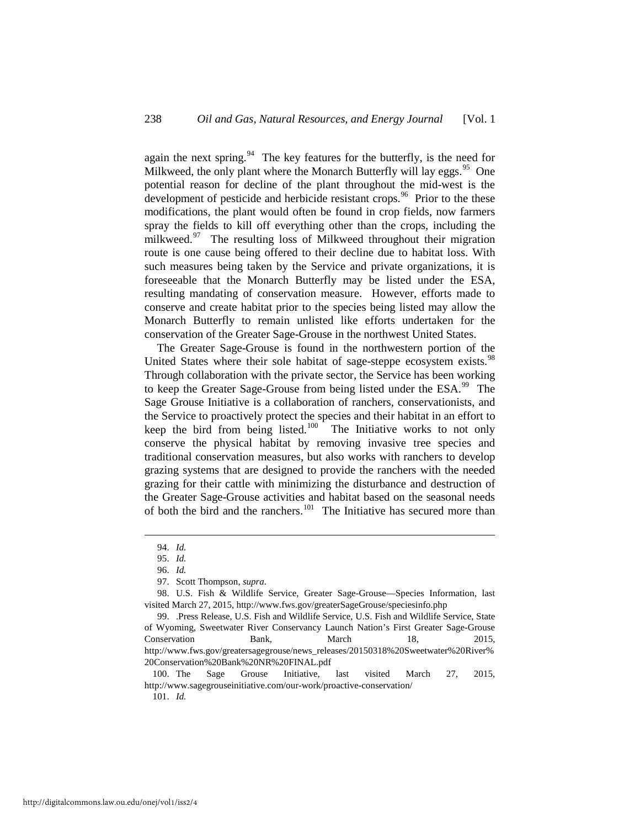again the next spring. $94$  The key features for the butterfly, is the need for Milkweed, the only plant where the Monarch Butterfly will lay eggs.<sup>95</sup> One potential reason for decline of the plant throughout the mid-west is the development of pesticide and herbicide resistant crops.<sup>96</sup> Prior to the these modifications, the plant would often be found in crop fields, now farmers spray the fields to kill off everything other than the crops, including the milkweed.<sup>97</sup> The resulting loss of Milkweed throughout their migration route is one cause being offered to their decline due to habitat loss. With such measures being taken by the Service and private organizations, it is foreseeable that the Monarch Butterfly may be listed under the ESA, resulting mandating of conservation measure. However, efforts made to conserve and create habitat prior to the species being listed may allow the Monarch Butterfly to remain unlisted like efforts undertaken for the conservation of the Greater Sage-Grouse in the northwest United States.

The Greater Sage-Grouse is found in the northwestern portion of the United States where their sole habitat of sage-steppe ecosystem exists.<sup>98</sup> Through collaboration with the private sector, the Service has been working to keep the Greater Sage-Grouse from being listed under the ESA.<sup>99</sup> The Sage Grouse Initiative is a collaboration of ranchers, conservationists, and the Service to proactively protect the species and their habitat in an effort to keep the bird from being listed.<sup>[100](#page-18-6)</sup> The Initiative works to not only conserve the physical habitat by removing invasive tree species and traditional conservation measures, but also works with ranchers to develop grazing systems that are designed to provide the ranchers with the needed grazing for their cattle with minimizing the disturbance and destruction of the Greater Sage-Grouse activities and habitat based on the seasonal needs of both the bird and the ranchers.<sup>101</sup> The Initiative has secured more than

101. *Id.* 

 <sup>94.</sup> *Id.*

<sup>95.</sup> *Id.*

<sup>96.</sup> *Id.*

<sup>97.</sup> Scott Thompson, *supra*.

<span id="page-18-4"></span><span id="page-18-3"></span><span id="page-18-2"></span><span id="page-18-1"></span><span id="page-18-0"></span><sup>98.</sup> U.S. Fish & Wildlife Service, Greater Sage-Grouse—Species Information, last visited March 27, 2015, http://www.fws.gov/greaterSageGrouse/speciesinfo.php

<span id="page-18-5"></span><sup>99. .</sup>Press Release, U.S. Fish and Wildlife Service, U.S. Fish and Wildlife Service, State of Wyoming, Sweetwater River Conservancy Launch Nation's First Greater Sage-Grouse Conservation Bank, March 18, 2015, http://www.fws.gov/greatersagegrouse/news\_releases/20150318%20Sweetwater%20River% 20Conservation%20Bank%20NR%20FINAL.pdf

<span id="page-18-7"></span><span id="page-18-6"></span><sup>100.</sup> The Sage Grouse Initiative, last visited March 27, 2015, http://www.sagegrouseinitiative.com/our-work/proactive-conservation/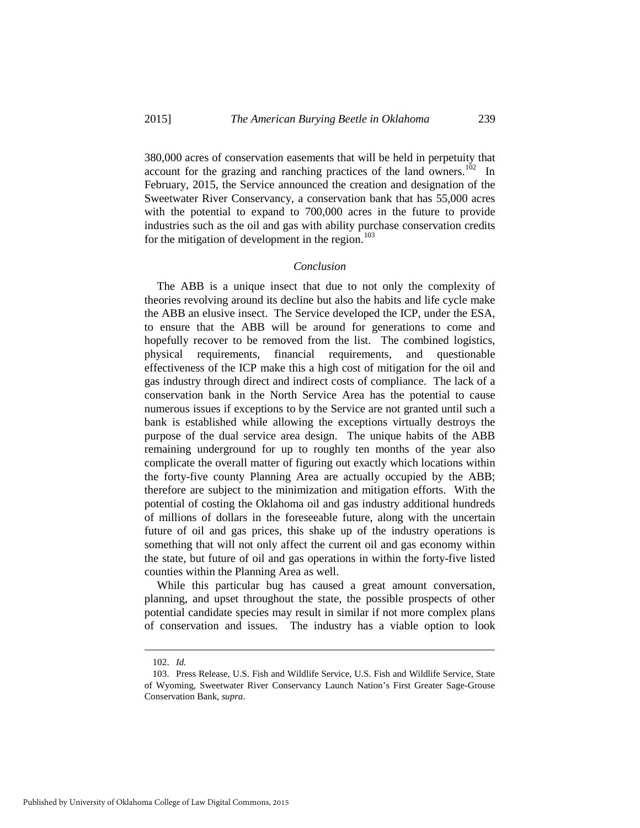380,000 acres of conservation easements that will be held in perpetuity that account for the grazing and ranching practices of the land owners.<sup>102</sup> In February, 2015, the Service announced the creation and designation of the Sweetwater River Conservancy, a conservation bank that has 55,000 acres with the potential to expand to 700,000 acres in the future to provide industries such as the oil and gas with ability purchase conservation credits for the mitigation of development in the region. $103$ 

#### *Conclusion*

The ABB is a unique insect that due to not only the complexity of theories revolving around its decline but also the habits and life cycle make the ABB an elusive insect. The Service developed the ICP, under the ESA, to ensure that the ABB will be around for generations to come and hopefully recover to be removed from the list. The combined logistics, physical requirements, financial requirements, and questionable effectiveness of the ICP make this a high cost of mitigation for the oil and gas industry through direct and indirect costs of compliance. The lack of a conservation bank in the North Service Area has the potential to cause numerous issues if exceptions to by the Service are not granted until such a bank is established while allowing the exceptions virtually destroys the purpose of the dual service area design. The unique habits of the ABB remaining underground for up to roughly ten months of the year also complicate the overall matter of figuring out exactly which locations within the forty-five county Planning Area are actually occupied by the ABB; therefore are subject to the minimization and mitigation efforts. With the potential of costing the Oklahoma oil and gas industry additional hundreds of millions of dollars in the foreseeable future, along with the uncertain future of oil and gas prices, this shake up of the industry operations is something that will not only affect the current oil and gas economy within the state, but future of oil and gas operations in within the forty-five listed counties within the Planning Area as well.

While this particular bug has caused a great amount conversation, planning, and upset throughout the state, the possible prospects of other potential candidate species may result in similar if not more complex plans of conservation and issues. The industry has a viable option to look

-

<sup>102.</sup> *Id.*

<span id="page-19-1"></span><span id="page-19-0"></span><sup>103.</sup> Press Release, U.S. Fish and Wildlife Service, U.S. Fish and Wildlife Service, State of Wyoming, Sweetwater River Conservancy Launch Nation's First Greater Sage-Grouse Conservation Bank, *supra*.